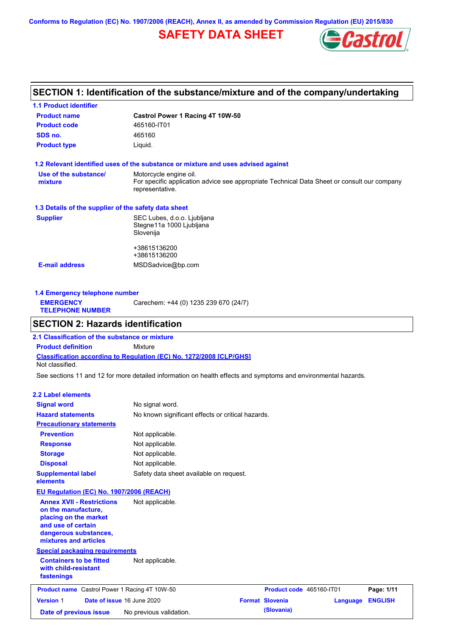**Conforms to Regulation (EC) No. 1907/2006 (REACH), Annex II, as amended by Commission Regulation (EU) 2015/830**

## **SAFETY DATA SHEET**



## **SECTION 1: Identification of the substance/mixture and of the company/undertaking**

| <b>1.1 Product identifier</b>                        |                                                                                                                                          |
|------------------------------------------------------|------------------------------------------------------------------------------------------------------------------------------------------|
| <b>Product name</b>                                  | Castrol Power 1 Racing 4T 10W-50                                                                                                         |
| <b>Product code</b>                                  | 465160-IT01                                                                                                                              |
| SDS no.                                              | 465160                                                                                                                                   |
| <b>Product type</b>                                  | Liquid.                                                                                                                                  |
|                                                      | 1.2 Relevant identified uses of the substance or mixture and uses advised against                                                        |
| Use of the substance/<br>mixture                     | Motorcycle engine oil.<br>For specific application advice see appropriate Technical Data Sheet or consult our company<br>representative. |
| 1.3 Details of the supplier of the safety data sheet |                                                                                                                                          |
| <b>Supplier</b>                                      | SEC Lubes, d.o.o. Ljubljana<br>Stegne11a 1000 Ljubljana<br>Slovenija                                                                     |
|                                                      | +38615136200<br>+38615136200                                                                                                             |
| <b>E-mail address</b>                                | MSDSadvice@bp.com                                                                                                                        |
|                                                      |                                                                                                                                          |

**1.4 Emergency telephone number EMERGENCY TELEPHONE NUMBER** Carechem: +44 (0) 1235 239 670 (24/7)

## **SECTION 2: Hazards identification**

**Classification according to Regulation (EC) No. 1272/2008 [CLP/GHS] 2.1 Classification of the substance or mixture Product definition** Mixture Not classified.

See sections 11 and 12 for more detailed information on health effects and symptoms and environmental hazards.

#### **2.2 Label elements**

| <b>Signal word</b><br><b>Hazard statements</b>                                                                                                           | No signal word.<br>No known significant effects or critical hazards. |                          |          |                |
|----------------------------------------------------------------------------------------------------------------------------------------------------------|----------------------------------------------------------------------|--------------------------|----------|----------------|
| <b>Precautionary statements</b>                                                                                                                          |                                                                      |                          |          |                |
| <b>Prevention</b>                                                                                                                                        | Not applicable.                                                      |                          |          |                |
| <b>Response</b>                                                                                                                                          | Not applicable.                                                      |                          |          |                |
| <b>Storage</b>                                                                                                                                           | Not applicable.                                                      |                          |          |                |
| <b>Disposal</b>                                                                                                                                          | Not applicable.                                                      |                          |          |                |
| <b>Supplemental label</b><br>elements                                                                                                                    | Safety data sheet available on request.                              |                          |          |                |
| EU Regulation (EC) No. 1907/2006 (REACH)                                                                                                                 |                                                                      |                          |          |                |
| <b>Annex XVII - Restrictions</b><br>on the manufacture,<br>placing on the market<br>and use of certain<br>dangerous substances,<br>mixtures and articles | Not applicable.                                                      |                          |          |                |
| <b>Special packaging requirements</b>                                                                                                                    |                                                                      |                          |          |                |
| <b>Containers to be fitted</b><br>with child-resistant<br>fastenings                                                                                     | Not applicable.                                                      |                          |          |                |
| <b>Product name</b> Castrol Power 1 Racing 4T 10W-50                                                                                                     |                                                                      | Product code 465160-IT01 |          | Page: 1/11     |
| <b>Version 1</b><br>Date of issue 16 June 2020                                                                                                           |                                                                      | <b>Format Slovenia</b>   | Language | <b>ENGLISH</b> |
| Date of previous issue                                                                                                                                   | No previous validation.                                              | (Slovania)               |          |                |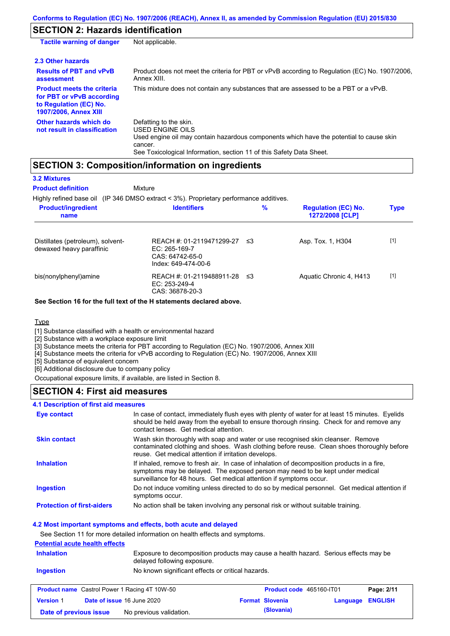## **SECTION 2: Hazards identification**

| <b>Tactile warning of danger</b>                                                                                         | Not applicable.                                                                                                                                                                                                          |
|--------------------------------------------------------------------------------------------------------------------------|--------------------------------------------------------------------------------------------------------------------------------------------------------------------------------------------------------------------------|
| 2.3 Other hazards                                                                                                        |                                                                                                                                                                                                                          |
| <b>Results of PBT and vPvB</b><br>assessment                                                                             | Product does not meet the criteria for PBT or vPvB according to Regulation (EC) No. 1907/2006,<br>Annex XIII.                                                                                                            |
| <b>Product meets the criteria</b><br>for PBT or vPvB according<br>to Regulation (EC) No.<br><b>1907/2006, Annex XIII</b> | This mixture does not contain any substances that are assessed to be a PBT or a vPvB.                                                                                                                                    |
| Other hazards which do<br>not result in classification                                                                   | Defatting to the skin.<br>USED ENGINE OILS<br>Used engine oil may contain hazardous components which have the potential to cause skin<br>cancer.<br>See Toxicological Information, section 11 of this Safety Data Sheet. |

## **SECTION 3: Composition/information on ingredients**

| <b>3.2 Mixtures</b><br><b>Product definition</b>              | Mixture<br>Highly refined base oil (IP 346 DMSO extract < 3%). Proprietary performance additives. |      |                                               |             |
|---------------------------------------------------------------|---------------------------------------------------------------------------------------------------|------|-----------------------------------------------|-------------|
| <b>Product/ingredient</b><br>name                             | <b>Identifiers</b>                                                                                | $\%$ | <b>Regulation (EC) No.</b><br>1272/2008 [CLP] | <b>Type</b> |
| Distillates (petroleum), solvent-<br>dewaxed heavy paraffinic | REACH #: 01-2119471299-27<br>EC: $265-169-7$<br>CAS: 64742-65-0<br>Index: 649-474-00-6            | -≤3  | Asp. Tox. 1, H304                             | $[1]$       |
| bis(nonylphenyl)amine                                         | REACH #: 01-2119488911-28<br>$EC: 253-249-4$<br>CAS: 36878-20-3                                   | -≤3  | Aquatic Chronic 4, H413                       | $[1]$       |

#### **See Section 16 for the full text of the H statements declared above.**

#### **Type**

[1] Substance classified with a health or environmental hazard

[2] Substance with a workplace exposure limit

[3] Substance meets the criteria for PBT according to Regulation (EC) No. 1907/2006, Annex XIII

[4] Substance meets the criteria for vPvB according to Regulation (EC) No. 1907/2006, Annex XIII

[5] Substance of equivalent concern

[6] Additional disclosure due to company policy

Occupational exposure limits, if available, are listed in Section 8.

## **SECTION 4: First aid measures**

#### **4.1 Description of first aid measures**

| Eye contact                       | In case of contact, immediately flush eyes with plenty of water for at least 15 minutes. Eyelids<br>should be held away from the eyeball to ensure thorough rinsing. Check for and remove any<br>contact lenses. Get medical attention.             |
|-----------------------------------|-----------------------------------------------------------------------------------------------------------------------------------------------------------------------------------------------------------------------------------------------------|
| <b>Skin contact</b>               | Wash skin thoroughly with soap and water or use recognised skin cleanser. Remove<br>contaminated clothing and shoes. Wash clothing before reuse. Clean shoes thoroughly before<br>reuse. Get medical attention if irritation develops.              |
| <b>Inhalation</b>                 | If inhaled, remove to fresh air. In case of inhalation of decomposition products in a fire,<br>symptoms may be delayed. The exposed person may need to be kept under medical<br>surveillance for 48 hours. Get medical attention if symptoms occur. |
| <b>Ingestion</b>                  | Do not induce vomiting unless directed to do so by medical personnel. Get medical attention if<br>symptoms occur.                                                                                                                                   |
| <b>Protection of first-aiders</b> | No action shall be taken involving any personal risk or without suitable training.                                                                                                                                                                  |

#### **4.2 Most important symptoms and effects, both acute and delayed**

See Section 11 for more detailed information on health effects and symptoms.

## **Potential acute health effects**

| <b>Inhalation</b>                                    | Exposure to decomposition products may cause a health hazard. Serious effects may be<br>delayed following exposure. |                                 |                   |
|------------------------------------------------------|---------------------------------------------------------------------------------------------------------------------|---------------------------------|-------------------|
| Ingestion                                            | No known significant effects or critical hazards.                                                                   |                                 |                   |
| <b>Product name</b> Castrol Power 1 Racing 4T 10W-50 |                                                                                                                     | <b>Product code</b> 465160-JT01 | <b>Page: 2/11</b> |

| <b>Product name</b> Castrol Power 1 Racing 4T 10W-50 |  | Product code 465160-IT01          |  | Page: 2/11             |                  |  |
|------------------------------------------------------|--|-----------------------------------|--|------------------------|------------------|--|
| <b>Version 1</b>                                     |  | <b>Date of issue 16 June 2020</b> |  | <b>Format Slovenia</b> | Language ENGLISH |  |
| Date of previous issue                               |  | No previous validation.           |  | (Slovania)             |                  |  |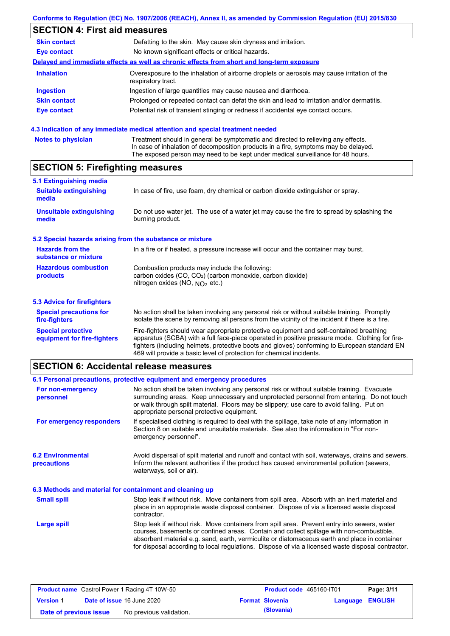# **SECTION 4: First aid measures**

| <b>Skin contact</b> | Defatting to the skin. May cause skin dryness and irritation.                                                     |
|---------------------|-------------------------------------------------------------------------------------------------------------------|
| Eye contact         | No known significant effects or critical hazards.                                                                 |
|                     | Delayed and immediate effects as well as chronic effects from short and long-term exposure                        |
| <b>Inhalation</b>   | Overexposure to the inhalation of airborne droplets or aerosols may cause irritation of the<br>respiratory tract. |
| <b>Ingestion</b>    | Ingestion of large quantities may cause nausea and diarrhoea.                                                     |
| <b>Skin contact</b> | Prolonged or repeated contact can defat the skin and lead to irritation and/or dermatitis.                        |
| <b>Eye contact</b>  | Potential risk of transient stinging or redness if accidental eye contact occurs.                                 |
|                     |                                                                                                                   |

### **4.3 Indication of any immediate medical attention and special treatment needed**

| <b>Notes to physician</b> | Treatment should in general be symptomatic and directed to relieving any effects.   |
|---------------------------|-------------------------------------------------------------------------------------|
|                           | In case of inhalation of decomposition products in a fire, symptoms may be delayed. |
|                           | The exposed person may need to be kept under medical surveillance for 48 hours.     |

# **SECTION 5: Firefighting measures**

| 5.1 Extinguishing media                                   |                                                                                                                                                                                                                                                                                                                                                                   |
|-----------------------------------------------------------|-------------------------------------------------------------------------------------------------------------------------------------------------------------------------------------------------------------------------------------------------------------------------------------------------------------------------------------------------------------------|
| <b>Suitable extinguishing</b><br>media                    | In case of fire, use foam, dry chemical or carbon dioxide extinguisher or spray.                                                                                                                                                                                                                                                                                  |
| <b>Unsuitable extinguishing</b><br>media                  | Do not use water jet. The use of a water jet may cause the fire to spread by splashing the<br>burning product.                                                                                                                                                                                                                                                    |
| 5.2 Special hazards arising from the substance or mixture |                                                                                                                                                                                                                                                                                                                                                                   |
| <b>Hazards from the</b><br>substance or mixture           | In a fire or if heated, a pressure increase will occur and the container may burst.                                                                                                                                                                                                                                                                               |
| <b>Hazardous combustion</b><br>products                   | Combustion products may include the following:<br>carbon oxides (CO, CO <sub>2</sub> ) (carbon monoxide, carbon dioxide)<br>nitrogen oxides (NO, $NO2$ etc.)                                                                                                                                                                                                      |
| 5.3 Advice for firefighters                               |                                                                                                                                                                                                                                                                                                                                                                   |
| <b>Special precautions for</b><br>fire-fighters           | No action shall be taken involving any personal risk or without suitable training. Promptly<br>isolate the scene by removing all persons from the vicinity of the incident if there is a fire.                                                                                                                                                                    |
| <b>Special protective</b><br>equipment for fire-fighters  | Fire-fighters should wear appropriate protective equipment and self-contained breathing<br>apparatus (SCBA) with a full face-piece operated in positive pressure mode. Clothing for fire-<br>fighters (including helmets, protective boots and gloves) conforming to European standard EN<br>469 will provide a basic level of protection for chemical incidents. |

## **SECTION 6: Accidental release measures**

|                                                          | 6.1 Personal precautions, protective equipment and emergency procedures                                                                                                                                                                                                                                                                                                                        |
|----------------------------------------------------------|------------------------------------------------------------------------------------------------------------------------------------------------------------------------------------------------------------------------------------------------------------------------------------------------------------------------------------------------------------------------------------------------|
| For non-emergency<br>personnel                           | No action shall be taken involving any personal risk or without suitable training. Evacuate<br>surrounding areas. Keep unnecessary and unprotected personnel from entering. Do not touch<br>or walk through spilt material. Floors may be slippery; use care to avoid falling. Put on<br>appropriate personal protective equipment.                                                            |
| For emergency responders                                 | If specialised clothing is required to deal with the spillage, take note of any information in<br>Section 8 on suitable and unsuitable materials. See also the information in "For non-<br>emergency personnel".                                                                                                                                                                               |
| <b>6.2 Environmental</b><br>precautions                  | Avoid dispersal of spilt material and runoff and contact with soil, waterways, drains and sewers.<br>Inform the relevant authorities if the product has caused environmental pollution (sewers,<br>waterways, soil or air).                                                                                                                                                                    |
| 6.3 Methods and material for containment and cleaning up |                                                                                                                                                                                                                                                                                                                                                                                                |
| <b>Small spill</b>                                       | Stop leak if without risk. Move containers from spill area. Absorb with an inert material and<br>place in an appropriate waste disposal container. Dispose of via a licensed waste disposal<br>contractor.                                                                                                                                                                                     |
| Large spill                                              | Stop leak if without risk. Move containers from spill area. Prevent entry into sewers, water<br>courses, basements or confined areas. Contain and collect spillage with non-combustible,<br>absorbent material e.g. sand, earth, vermiculite or diatomaceous earth and place in container<br>for disposal according to local regulations. Dispose of via a licensed waste disposal contractor. |

| <b>Product name</b> Castrol Power 1 Racing 4T 10W-50 |  | Product code 465160-IT01          |  | Page: 3/11             |                  |  |
|------------------------------------------------------|--|-----------------------------------|--|------------------------|------------------|--|
| <b>Version 1</b>                                     |  | <b>Date of issue 16 June 2020</b> |  | <b>Format Slovenia</b> | Language ENGLISH |  |
| Date of previous issue                               |  | No previous validation.           |  | (Slovania)             |                  |  |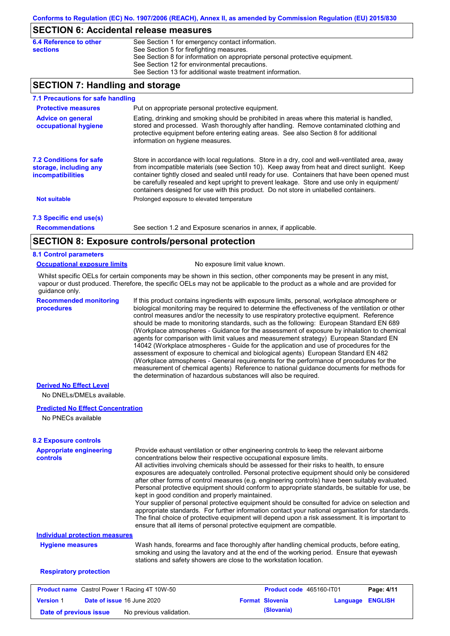### **SECTION 6: Accidental release measures**

| 6.4 Reference to other | See Section 1 for emergency contact information.                            |
|------------------------|-----------------------------------------------------------------------------|
| sections               | See Section 5 for firefighting measures.                                    |
|                        | See Section 8 for information on appropriate personal protective equipment. |
|                        | See Section 12 for environmental precautions.                               |
|                        | See Section 13 for additional waste treatment information.                  |

## **SECTION 7: Handling and storage**

| 7.1 Precautions for safe handling                                                    |                                                                                                                                                                                                                                                                                                                                                                                                                                                                                          |
|--------------------------------------------------------------------------------------|------------------------------------------------------------------------------------------------------------------------------------------------------------------------------------------------------------------------------------------------------------------------------------------------------------------------------------------------------------------------------------------------------------------------------------------------------------------------------------------|
| <b>Protective measures</b>                                                           | Put on appropriate personal protective equipment.                                                                                                                                                                                                                                                                                                                                                                                                                                        |
| <b>Advice on general</b><br>occupational hygiene                                     | Eating, drinking and smoking should be prohibited in areas where this material is handled,<br>stored and processed. Wash thoroughly after handling. Remove contaminated clothing and<br>protective equipment before entering eating areas. See also Section 8 for additional<br>information on hygiene measures.                                                                                                                                                                         |
| <b>7.2 Conditions for safe</b><br>storage, including any<br><i>incompatibilities</i> | Store in accordance with local regulations. Store in a dry, cool and well-ventilated area, away<br>from incompatible materials (see Section 10). Keep away from heat and direct sunlight. Keep<br>container tightly closed and sealed until ready for use. Containers that have been opened must<br>be carefully resealed and kept upright to prevent leakage. Store and use only in equipment/<br>containers designed for use with this product. Do not store in unlabelled containers. |
| <b>Not suitable</b>                                                                  | Prolonged exposure to elevated temperature                                                                                                                                                                                                                                                                                                                                                                                                                                               |
| 7.3 Specific end use(s)                                                              |                                                                                                                                                                                                                                                                                                                                                                                                                                                                                          |
| <b>Recommendations</b>                                                               | See section 1.2 and Exposure scenarios in annex, if applicable.                                                                                                                                                                                                                                                                                                                                                                                                                          |
|                                                                                      | CECTION 0. Evacouse controlainescanal protection                                                                                                                                                                                                                                                                                                                                                                                                                                         |

## **SECTION 8: Exposure controls/personal protection**

#### **8.1 Control parameters**

#### **Occupational exposure limits** No exposure limit value known.

Whilst specific OELs for certain components may be shown in this section, other components may be present in any mist, vapour or dust produced. Therefore, the specific OELs may not be applicable to the product as a whole and are provided for guidance only.

**Recommended monitoring procedures**

If this product contains ingredients with exposure limits, personal, workplace atmosphere or biological monitoring may be required to determine the effectiveness of the ventilation or other control measures and/or the necessity to use respiratory protective equipment. Reference should be made to monitoring standards, such as the following: European Standard EN 689 (Workplace atmospheres - Guidance for the assessment of exposure by inhalation to chemical agents for comparison with limit values and measurement strategy) European Standard EN 14042 (Workplace atmospheres - Guide for the application and use of procedures for the assessment of exposure to chemical and biological agents) European Standard EN 482 (Workplace atmospheres - General requirements for the performance of procedures for the measurement of chemical agents) Reference to national guidance documents for methods for the determination of hazardous substances will also be required.

#### **Derived No Effect Level**

No DNELs/DMELs available.

#### **Predicted No Effect Concentration**

No PNECs available

| <b>Appropriate engineering</b><br><b>controls</b>    |                                                                                                                                                                                                                                                                                                                                                                                                                                    | Provide exhaust ventilation or other engineering controls to keep the relevant airborne<br>concentrations below their respective occupational exposure limits.<br>All activities involving chemicals should be assessed for their risks to health, to ensure<br>exposures are adequately controlled. Personal protective equipment should only be considered<br>after other forms of control measures (e.g. engineering controls) have been suitably evaluated.<br>Personal protective equipment should conform to appropriate standards, be suitable for use, be |                          |          |                |
|------------------------------------------------------|------------------------------------------------------------------------------------------------------------------------------------------------------------------------------------------------------------------------------------------------------------------------------------------------------------------------------------------------------------------------------------------------------------------------------------|-------------------------------------------------------------------------------------------------------------------------------------------------------------------------------------------------------------------------------------------------------------------------------------------------------------------------------------------------------------------------------------------------------------------------------------------------------------------------------------------------------------------------------------------------------------------|--------------------------|----------|----------------|
|                                                      | kept in good condition and properly maintained.<br>Your supplier of personal protective equipment should be consulted for advice on selection and<br>appropriate standards. For further information contact your national organisation for standards.<br>The final choice of protective equipment will depend upon a risk assessment. It is important to<br>ensure that all items of personal protective equipment are compatible. |                                                                                                                                                                                                                                                                                                                                                                                                                                                                                                                                                                   |                          |          |                |
| <b>Individual protection measures</b>                |                                                                                                                                                                                                                                                                                                                                                                                                                                    |                                                                                                                                                                                                                                                                                                                                                                                                                                                                                                                                                                   |                          |          |                |
| <b>Hygiene measures</b>                              | Wash hands, forearms and face thoroughly after handling chemical products, before eating,<br>smoking and using the lavatory and at the end of the working period. Ensure that eyewash<br>stations and safety showers are close to the workstation location.                                                                                                                                                                        |                                                                                                                                                                                                                                                                                                                                                                                                                                                                                                                                                                   |                          |          |                |
| <b>Respiratory protection</b>                        |                                                                                                                                                                                                                                                                                                                                                                                                                                    |                                                                                                                                                                                                                                                                                                                                                                                                                                                                                                                                                                   |                          |          |                |
| <b>Product name</b> Castrol Power 1 Racing 4T 10W-50 |                                                                                                                                                                                                                                                                                                                                                                                                                                    |                                                                                                                                                                                                                                                                                                                                                                                                                                                                                                                                                                   | Product code 465160-IT01 |          | Page: 4/11     |
| Date of issue 16 June 2020<br><b>Version 1</b>       |                                                                                                                                                                                                                                                                                                                                                                                                                                    |                                                                                                                                                                                                                                                                                                                                                                                                                                                                                                                                                                   | <b>Format Slovenia</b>   | Language | <b>ENGLISH</b> |

**Date of previous issue** No previous validation. **(Slovania)**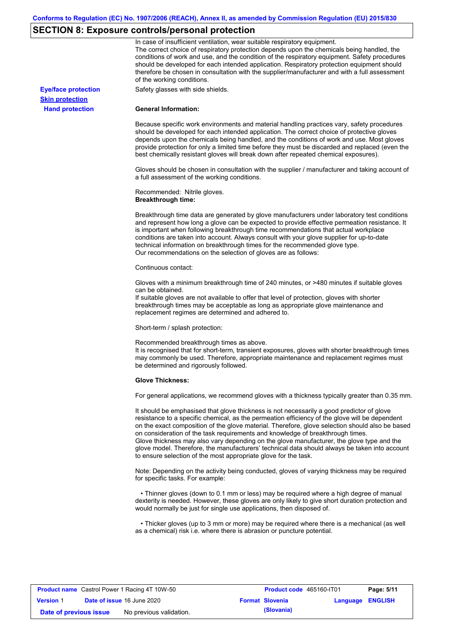# **SECTION 8: Exposure controls/personal protection**

|                            | In case of insufficient ventilation, wear suitable respiratory equipment.<br>The correct choice of respiratory protection depends upon the chemicals being handled, the<br>conditions of work and use, and the condition of the respiratory equipment. Safety procedures<br>should be developed for each intended application. Respiratory protection equipment should<br>therefore be chosen in consultation with the supplier/manufacturer and with a full assessment<br>of the working conditions.                                                                                                                                             |
|----------------------------|---------------------------------------------------------------------------------------------------------------------------------------------------------------------------------------------------------------------------------------------------------------------------------------------------------------------------------------------------------------------------------------------------------------------------------------------------------------------------------------------------------------------------------------------------------------------------------------------------------------------------------------------------|
| <b>Eye/face protection</b> | Safety glasses with side shields.                                                                                                                                                                                                                                                                                                                                                                                                                                                                                                                                                                                                                 |
| <b>Skin protection</b>     |                                                                                                                                                                                                                                                                                                                                                                                                                                                                                                                                                                                                                                                   |
| <b>Hand protection</b>     | <b>General Information:</b>                                                                                                                                                                                                                                                                                                                                                                                                                                                                                                                                                                                                                       |
|                            | Because specific work environments and material handling practices vary, safety procedures<br>should be developed for each intended application. The correct choice of protective gloves<br>depends upon the chemicals being handled, and the conditions of work and use. Most gloves<br>provide protection for only a limited time before they must be discarded and replaced (even the<br>best chemically resistant gloves will break down after repeated chemical exposures).                                                                                                                                                                  |
|                            | Gloves should be chosen in consultation with the supplier / manufacturer and taking account of<br>a full assessment of the working conditions.                                                                                                                                                                                                                                                                                                                                                                                                                                                                                                    |
|                            | Recommended: Nitrile gloves.<br><b>Breakthrough time:</b>                                                                                                                                                                                                                                                                                                                                                                                                                                                                                                                                                                                         |
|                            | Breakthrough time data are generated by glove manufacturers under laboratory test conditions<br>and represent how long a glove can be expected to provide effective permeation resistance. It<br>is important when following breakthrough time recommendations that actual workplace<br>conditions are taken into account. Always consult with your glove supplier for up-to-date<br>technical information on breakthrough times for the recommended glove type.<br>Our recommendations on the selection of gloves are as follows:                                                                                                                |
|                            | Continuous contact:                                                                                                                                                                                                                                                                                                                                                                                                                                                                                                                                                                                                                               |
|                            | Gloves with a minimum breakthrough time of 240 minutes, or >480 minutes if suitable gloves<br>can be obtained.<br>If suitable gloves are not available to offer that level of protection, gloves with shorter<br>breakthrough times may be acceptable as long as appropriate glove maintenance and                                                                                                                                                                                                                                                                                                                                                |
|                            | replacement regimes are determined and adhered to.                                                                                                                                                                                                                                                                                                                                                                                                                                                                                                                                                                                                |
|                            | Short-term / splash protection:                                                                                                                                                                                                                                                                                                                                                                                                                                                                                                                                                                                                                   |
|                            | Recommended breakthrough times as above.<br>It is recognised that for short-term, transient exposures, gloves with shorter breakthrough times<br>may commonly be used. Therefore, appropriate maintenance and replacement regimes must<br>be determined and rigorously followed.                                                                                                                                                                                                                                                                                                                                                                  |
|                            | <b>Glove Thickness:</b>                                                                                                                                                                                                                                                                                                                                                                                                                                                                                                                                                                                                                           |
|                            | For general applications, we recommend gloves with a thickness typically greater than 0.35 mm.                                                                                                                                                                                                                                                                                                                                                                                                                                                                                                                                                    |
|                            | It should be emphasised that glove thickness is not necessarily a good predictor of glove<br>resistance to a specific chemical, as the permeation efficiency of the glove will be dependent<br>on the exact composition of the glove material. Therefore, glove selection should also be based<br>on consideration of the task requirements and knowledge of breakthrough times.<br>Glove thickness may also vary depending on the glove manufacturer, the glove type and the<br>glove model. Therefore, the manufacturers' technical data should always be taken into account<br>to ensure selection of the most appropriate glove for the task. |
|                            | Note: Depending on the activity being conducted, gloves of varying thickness may be required<br>for specific tasks. For example:                                                                                                                                                                                                                                                                                                                                                                                                                                                                                                                  |
|                            | • Thinner gloves (down to 0.1 mm or less) may be required where a high degree of manual<br>dexterity is needed. However, these gloves are only likely to give short duration protection and<br>would normally be just for single use applications, then disposed of.                                                                                                                                                                                                                                                                                                                                                                              |
|                            | • Thicker gloves (up to 3 mm or more) may be required where there is a mechanical (as well<br>as a chemical) risk i.e. where there is abrasion or puncture potential.                                                                                                                                                                                                                                                                                                                                                                                                                                                                             |

| <b>Product name</b> Castrol Power 1 Racing 4T 10W-50 |  |                                   | Product code 465160-IT01 |                        | Page: 5/11              |  |
|------------------------------------------------------|--|-----------------------------------|--------------------------|------------------------|-------------------------|--|
| <b>Version 1</b>                                     |  | <b>Date of issue 16 June 2020</b> |                          | <b>Format Slovenia</b> | <b>Language ENGLISH</b> |  |
| Date of previous issue                               |  | No previous validation.           |                          | (Slovania)             |                         |  |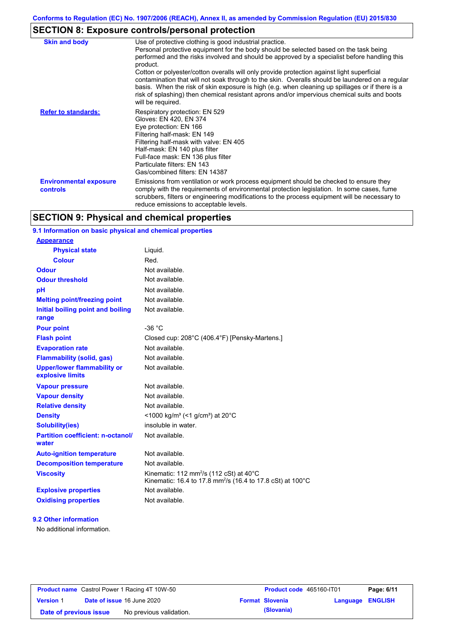# **SECTION 8: Exposure controls/personal protection**

| <b>Skin and body</b>                      | Use of protective clothing is good industrial practice.<br>Personal protective equipment for the body should be selected based on the task being<br>performed and the risks involved and should be approved by a specialist before handling this<br>product.<br>Cotton or polyester/cotton overalls will only provide protection against light superficial<br>contamination that will not soak through to the skin. Overalls should be laundered on a regular<br>basis. When the risk of skin exposure is high (e.g. when cleaning up spillages or if there is a<br>risk of splashing) then chemical resistant aprons and/or impervious chemical suits and boots<br>will be required. |
|-------------------------------------------|---------------------------------------------------------------------------------------------------------------------------------------------------------------------------------------------------------------------------------------------------------------------------------------------------------------------------------------------------------------------------------------------------------------------------------------------------------------------------------------------------------------------------------------------------------------------------------------------------------------------------------------------------------------------------------------|
| <b>Refer to standards:</b>                | Respiratory protection: EN 529<br>Gloves: EN 420, EN 374<br>Eye protection: EN 166<br>Filtering half-mask: EN 149<br>Filtering half-mask with valve: EN 405<br>Half-mask: EN 140 plus filter<br>Full-face mask: EN 136 plus filter<br>Particulate filters: EN 143<br>Gas/combined filters: EN 14387                                                                                                                                                                                                                                                                                                                                                                                   |
| <b>Environmental exposure</b><br>controls | Emissions from ventilation or work process equipment should be checked to ensure they<br>comply with the requirements of environmental protection legislation. In some cases, fume<br>scrubbers, filters or engineering modifications to the process equipment will be necessary to<br>reduce emissions to acceptable levels.                                                                                                                                                                                                                                                                                                                                                         |

## **SECTION 9: Physical and chemical properties**

## **9.1 Information on basic physical and chemical properties**

| <b>Appearance</b>                                      |                                                                                                                                         |
|--------------------------------------------------------|-----------------------------------------------------------------------------------------------------------------------------------------|
| <b>Physical state</b>                                  | Liquid.                                                                                                                                 |
| Colour                                                 | Red.                                                                                                                                    |
| <b>Odour</b>                                           | Not available.                                                                                                                          |
| <b>Odour threshold</b>                                 | Not available.                                                                                                                          |
| pH                                                     | Not available.                                                                                                                          |
| <b>Melting point/freezing point</b>                    | Not available.                                                                                                                          |
| Initial boiling point and boiling<br>range             | Not available.                                                                                                                          |
| <b>Pour point</b>                                      | $-36 °C$                                                                                                                                |
| <b>Flash point</b>                                     | Closed cup: 208°C (406.4°F) [Pensky-Martens.]                                                                                           |
| <b>Evaporation rate</b>                                | Not available.                                                                                                                          |
| <b>Flammability (solid, gas)</b>                       | Not available.                                                                                                                          |
| <b>Upper/lower flammability or</b><br>explosive limits | Not available.                                                                                                                          |
| <b>Vapour pressure</b>                                 | Not available.                                                                                                                          |
| <b>Vapour density</b>                                  | Not available.                                                                                                                          |
| <b>Relative density</b>                                | Not available.                                                                                                                          |
| <b>Density</b>                                         | $<$ 1000 kg/m <sup>3</sup> (<1 g/cm <sup>3</sup> ) at 20 <sup>°</sup> C                                                                 |
| <b>Solubility(ies)</b>                                 | insoluble in water.                                                                                                                     |
| <b>Partition coefficient: n-octanol/</b><br>water      | Not available.                                                                                                                          |
| <b>Auto-ignition temperature</b>                       | Not available.                                                                                                                          |
| <b>Decomposition temperature</b>                       | Not available.                                                                                                                          |
| <b>Viscosity</b>                                       | Kinematic: 112 mm <sup>2</sup> /s (112 cSt) at $40^{\circ}$ C<br>Kinematic: 16.4 to 17.8 mm <sup>2</sup> /s (16.4 to 17.8 cSt) at 100°C |
| <b>Explosive properties</b>                            | Not available.                                                                                                                          |
| <b>Oxidising properties</b>                            | Not available.                                                                                                                          |

#### **9.2 Other information**

No additional information.

| <b>Product name</b> Castrol Power 1 Racing 4T 10W-50 |  |                                   | <b>Product code</b> 465160-IT01 |                        | Page: 6/11              |  |
|------------------------------------------------------|--|-----------------------------------|---------------------------------|------------------------|-------------------------|--|
| <b>Version 1</b>                                     |  | <b>Date of issue 16 June 2020</b> |                                 | <b>Format Slovenia</b> | <b>Language ENGLISH</b> |  |
| Date of previous issue                               |  | No previous validation.           |                                 | (Slovania)             |                         |  |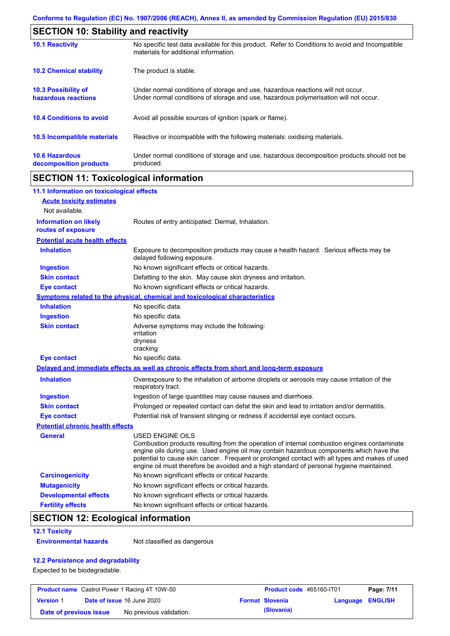|                                                   | <b>SECTION 10: Stability and reactivity</b>                                                                                                                             |  |  |  |
|---------------------------------------------------|-------------------------------------------------------------------------------------------------------------------------------------------------------------------------|--|--|--|
| <b>10.1 Reactivity</b>                            | No specific test data available for this product. Refer to Conditions to avoid and Incompatible<br>materials for additional information.                                |  |  |  |
| <b>10.2 Chemical stability</b>                    | The product is stable.                                                                                                                                                  |  |  |  |
| <b>10.3 Possibility of</b><br>hazardous reactions | Under normal conditions of storage and use, hazardous reactions will not occur.<br>Under normal conditions of storage and use, hazardous polymerisation will not occur. |  |  |  |
| <b>10.4 Conditions to avoid</b>                   | Avoid all possible sources of ignition (spark or flame).                                                                                                                |  |  |  |
| <b>10.5 Incompatible materials</b>                | Reactive or incompatible with the following materials: oxidising materials.                                                                                             |  |  |  |
| <b>10.6 Hazardous</b><br>decomposition products   | Under normal conditions of storage and use, hazardous decomposition products should not be<br>produced.                                                                 |  |  |  |

## **SECTION 11: Toxicological information**

| 11.1 Information on toxicological effects          |                                                                                                                                                                                                                                                                                                                                                                                                                 |
|----------------------------------------------------|-----------------------------------------------------------------------------------------------------------------------------------------------------------------------------------------------------------------------------------------------------------------------------------------------------------------------------------------------------------------------------------------------------------------|
| <b>Acute toxicity estimates</b>                    |                                                                                                                                                                                                                                                                                                                                                                                                                 |
| Not available.                                     |                                                                                                                                                                                                                                                                                                                                                                                                                 |
| <b>Information on likely</b><br>routes of exposure | Routes of entry anticipated: Dermal, Inhalation.                                                                                                                                                                                                                                                                                                                                                                |
| <b>Potential acute health effects</b>              |                                                                                                                                                                                                                                                                                                                                                                                                                 |
| <b>Inhalation</b>                                  | Exposure to decomposition products may cause a health hazard. Serious effects may be<br>delayed following exposure.                                                                                                                                                                                                                                                                                             |
| <b>Ingestion</b>                                   | No known significant effects or critical hazards.                                                                                                                                                                                                                                                                                                                                                               |
| <b>Skin contact</b>                                | Defatting to the skin. May cause skin dryness and irritation.                                                                                                                                                                                                                                                                                                                                                   |
| <b>Eye contact</b>                                 | No known significant effects or critical hazards.                                                                                                                                                                                                                                                                                                                                                               |
|                                                    | <b>Symptoms related to the physical, chemical and toxicological characteristics</b>                                                                                                                                                                                                                                                                                                                             |
| <b>Inhalation</b>                                  | No specific data.                                                                                                                                                                                                                                                                                                                                                                                               |
| <b>Ingestion</b>                                   | No specific data.                                                                                                                                                                                                                                                                                                                                                                                               |
| <b>Skin contact</b>                                | Adverse symptoms may include the following:<br>irritation<br>dryness<br>cracking                                                                                                                                                                                                                                                                                                                                |
| <b>Eye contact</b>                                 | No specific data.                                                                                                                                                                                                                                                                                                                                                                                               |
|                                                    | Delayed and immediate effects as well as chronic effects from short and long-term exposure                                                                                                                                                                                                                                                                                                                      |
| <b>Inhalation</b>                                  | Overexposure to the inhalation of airborne droplets or aerosols may cause irritation of the<br>respiratory tract.                                                                                                                                                                                                                                                                                               |
| <b>Ingestion</b>                                   | Ingestion of large quantities may cause nausea and diarrhoea.                                                                                                                                                                                                                                                                                                                                                   |
| <b>Skin contact</b>                                | Prolonged or repeated contact can defat the skin and lead to irritation and/or dermatitis.                                                                                                                                                                                                                                                                                                                      |
| <b>Eye contact</b>                                 | Potential risk of transient stinging or redness if accidental eye contact occurs.                                                                                                                                                                                                                                                                                                                               |
| <b>Potential chronic health effects</b>            |                                                                                                                                                                                                                                                                                                                                                                                                                 |
| <b>General</b>                                     | <b>USED ENGINE OILS</b><br>Combustion products resulting from the operation of internal combustion engines contaminate<br>engine oils during use. Used engine oil may contain hazardous components which have the<br>potential to cause skin cancer. Frequent or prolonged contact with all types and makes of used<br>engine oil must therefore be avoided and a high standard of personal hygiene maintained. |
| <b>Carcinogenicity</b>                             | No known significant effects or critical hazards.                                                                                                                                                                                                                                                                                                                                                               |
| <b>Mutagenicity</b>                                | No known significant effects or critical hazards.                                                                                                                                                                                                                                                                                                                                                               |
| <b>Developmental effects</b>                       | No known significant effects or critical hazards.                                                                                                                                                                                                                                                                                                                                                               |
| <b>Fertility effects</b>                           | No known significant effects or critical hazards.                                                                                                                                                                                                                                                                                                                                                               |

## **SECTION 12: Ecological information**

#### **12.1 Toxicity**

**Environmental hazards** Not classified as dangerous

### **12.2 Persistence and degradability**

Expected to be biodegradable.

|                        | <b>Product name</b> Castrol Power 1 Racing 4T 10W-50 | Product code 465160-IT01 |                  | Page: 7/11 |
|------------------------|------------------------------------------------------|--------------------------|------------------|------------|
| <b>Version 1</b>       | <b>Date of issue 16 June 2020</b>                    | <b>Format Slovenia</b>   | Language ENGLISH |            |
| Date of previous issue | No previous validation.                              | (Slovania)               |                  |            |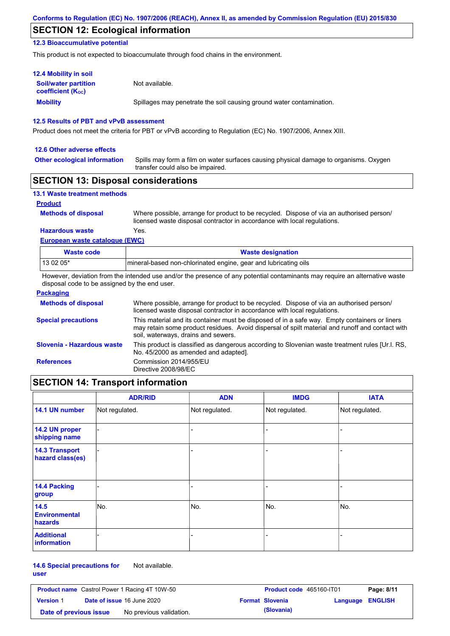## **SECTION 12: Ecological information**

#### **12.3 Bioaccumulative potential**

This product is not expected to bioaccumulate through food chains in the environment.

| <b>12.4 Mobility in soil</b>                                  |                                                                      |
|---------------------------------------------------------------|----------------------------------------------------------------------|
| <b>Soil/water partition</b><br>coefficient (K <sub>oc</sub> ) | Not available.                                                       |
| <b>Mobility</b>                                               | Spillages may penetrate the soil causing ground water contamination. |

#### **12.5 Results of PBT and vPvB assessment**

Product does not meet the criteria for PBT or vPvB according to Regulation (EC) No. 1907/2006, Annex XIII.

#### **12.6 Other adverse effects**

**Other ecological information**

Spills may form a film on water surfaces causing physical damage to organisms. Oxygen transfer could also be impaired.

## **SECTION 13: Disposal considerations**

| <b>13.1 Waste treatment methods</b> |                                                                                                                                                                      |
|-------------------------------------|----------------------------------------------------------------------------------------------------------------------------------------------------------------------|
| <b>Product</b>                      |                                                                                                                                                                      |
| <b>Methods of disposal</b>          | Where possible, arrange for product to be recycled. Dispose of via an authorised person/<br>licensed waste disposal contractor in accordance with local regulations. |
| <b>Hazardous waste</b>              | Yes.                                                                                                                                                                 |
| European waste catalogue (EWC)      |                                                                                                                                                                      |

| Waste code | <b>Waste designation</b>                                        |
|------------|-----------------------------------------------------------------|
| $130205*$  | mineral-based non-chlorinated engine, gear and lubricating oils |

However, deviation from the intended use and/or the presence of any potential contaminants may require an alternative waste disposal code to be assigned by the end user.

| <b>Packaging</b>           |                                                                                                                                                                                                                                         |
|----------------------------|-----------------------------------------------------------------------------------------------------------------------------------------------------------------------------------------------------------------------------------------|
| <b>Methods of disposal</b> | Where possible, arrange for product to be recycled. Dispose of via an authorised person/<br>licensed waste disposal contractor in accordance with local regulations.                                                                    |
| <b>Special precautions</b> | This material and its container must be disposed of in a safe way. Empty containers or liners<br>may retain some product residues. Avoid dispersal of spilt material and runoff and contact with<br>soil, waterways, drains and sewers. |
| Slovenia - Hazardous waste | This product is classified as dangerous according to Slovenian waste treatment rules [Ur.l. RS,<br>No. 45/2000 as amended and adapted].                                                                                                 |
| <b>References</b>          | Commission 2014/955/EU<br>Directive 2008/98/EC                                                                                                                                                                                          |

## **SECTION 14: Transport information**

|                                           | <b>ADR/RID</b> | <b>ADN</b>     | <b>IMDG</b>    | <b>IATA</b>    |
|-------------------------------------------|----------------|----------------|----------------|----------------|
| 14.1 UN number                            | Not regulated. | Not regulated. | Not regulated. | Not regulated. |
| 14.2 UN proper<br>shipping name           |                |                | ۰              |                |
| <b>14.3 Transport</b><br>hazard class(es) |                |                | ۰              |                |
| 14.4 Packing<br>group                     |                |                |                |                |
| 14.5<br><b>Environmental</b><br>hazards   | No.            | No.            | No.            | No.            |
| <b>Additional</b><br>information          |                |                |                |                |

#### **14.6 Special precautions for**  Not available.

**user**

| <b>Product name</b> Castrol Power 1 Racing 4T 10W-50 |  | Product code 465160-IT01          |  | Page: 8/11             |                  |  |
|------------------------------------------------------|--|-----------------------------------|--|------------------------|------------------|--|
| <b>Version 1</b>                                     |  | <b>Date of issue 16 June 2020</b> |  | <b>Format Slovenia</b> | Language ENGLISH |  |
| Date of previous issue                               |  | No previous validation.           |  | (Slovania)             |                  |  |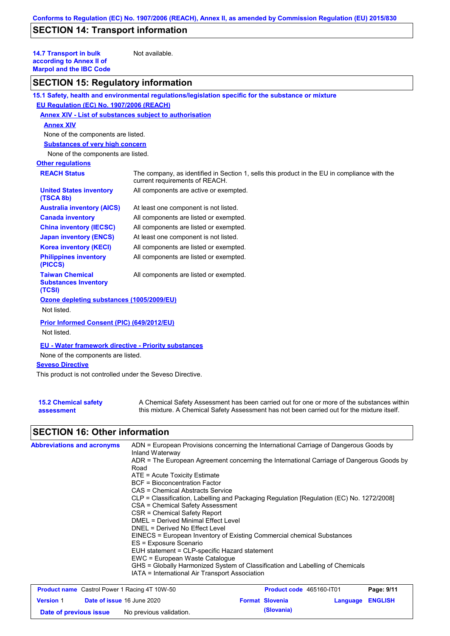# **SECTION 14: Transport information**

**14.7 Transport in bulk according to Annex II of Marpol and the IBC Code**

Not available.

## **SECTION 15: Regulatory information**

|                                                                                                                                                                                     | 15.1 Safety, health and environmental regulations/legislation specific for the substance or mixture                            |
|-------------------------------------------------------------------------------------------------------------------------------------------------------------------------------------|--------------------------------------------------------------------------------------------------------------------------------|
| EU Regulation (EC) No. 1907/2006 (REACH)                                                                                                                                            |                                                                                                                                |
| <b>Annex XIV - List of substances subject to authorisation</b>                                                                                                                      |                                                                                                                                |
| <b>Annex XIV</b>                                                                                                                                                                    |                                                                                                                                |
| None of the components are listed.                                                                                                                                                  |                                                                                                                                |
| <b>Substances of very high concern</b>                                                                                                                                              |                                                                                                                                |
| None of the components are listed.                                                                                                                                                  |                                                                                                                                |
| <b>Other regulations</b>                                                                                                                                                            |                                                                                                                                |
| <b>REACH Status</b>                                                                                                                                                                 | The company, as identified in Section 1, sells this product in the EU in compliance with the<br>current requirements of REACH. |
| <b>United States inventory</b><br>(TSCA 8b)                                                                                                                                         | All components are active or exempted.                                                                                         |
| <b>Australia inventory (AICS)</b>                                                                                                                                                   | At least one component is not listed.                                                                                          |
| <b>Canada inventory</b>                                                                                                                                                             | All components are listed or exempted.                                                                                         |
| <b>China inventory (IECSC)</b>                                                                                                                                                      | All components are listed or exempted.                                                                                         |
| <b>Japan inventory (ENCS)</b>                                                                                                                                                       | At least one component is not listed.                                                                                          |
| <b>Korea inventory (KECI)</b>                                                                                                                                                       | All components are listed or exempted.                                                                                         |
| <b>Philippines inventory</b><br>(PICCS)                                                                                                                                             | All components are listed or exempted.                                                                                         |
| <b>Taiwan Chemical</b><br><b>Substances Inventory</b><br>(TCSI)                                                                                                                     | All components are listed or exempted.                                                                                         |
| Ozone depleting substances (1005/2009/EU)<br>Not listed.                                                                                                                            |                                                                                                                                |
| Prior Informed Consent (PIC) (649/2012/EU)<br>Not listed.                                                                                                                           |                                                                                                                                |
| EU - Water framework directive - Priority substances<br>None of the components are listed.<br><b>Seveso Directive</b><br>This product is not controlled under the Seveso Directive. |                                                                                                                                |

| <b>15.2 Chemical safety</b> | A Chemical Safety Assessment has been carried out for one or more of the substances within  |
|-----------------------------|---------------------------------------------------------------------------------------------|
| assessment                  | this mixture. A Chemical Safety Assessment has not been carried out for the mixture itself. |

## **SECTION 16: Other information**

| <b>Abbreviations and acronyms</b> | ADN = European Provisions concerning the International Carriage of Dangerous Goods by<br>Inland Waterway |  |  |  |
|-----------------------------------|----------------------------------------------------------------------------------------------------------|--|--|--|
|                                   | ADR = The European Agreement concerning the International Carriage of Dangerous Goods by                 |  |  |  |
|                                   | Road                                                                                                     |  |  |  |
|                                   | $ATE = Acute Toxicity Estimate$                                                                          |  |  |  |
|                                   | BCF = Bioconcentration Factor                                                                            |  |  |  |
|                                   | CAS = Chemical Abstracts Service                                                                         |  |  |  |
|                                   | CLP = Classification, Labelling and Packaging Regulation [Regulation (EC) No. 1272/2008]                 |  |  |  |
|                                   | CSA = Chemical Safety Assessment                                                                         |  |  |  |
|                                   | CSR = Chemical Safety Report                                                                             |  |  |  |
|                                   | DMEL = Derived Minimal Effect Level                                                                      |  |  |  |
|                                   | DNEL = Derived No Effect Level                                                                           |  |  |  |
|                                   | EINECS = European Inventory of Existing Commercial chemical Substances                                   |  |  |  |
|                                   | ES = Exposure Scenario                                                                                   |  |  |  |
|                                   | EUH statement = CLP-specific Hazard statement                                                            |  |  |  |
|                                   | EWC = European Waste Catalogue                                                                           |  |  |  |
|                                   | GHS = Globally Harmonized System of Classification and Labelling of Chemicals                            |  |  |  |
|                                   | IATA = International Air Transport Association                                                           |  |  |  |
|                                   |                                                                                                          |  |  |  |

| <b>Product name</b> Castrol Power 1 Racing 4T 10W-50 |  | Product code 465160-IT01          |  | Page: 9/11             |                  |  |
|------------------------------------------------------|--|-----------------------------------|--|------------------------|------------------|--|
| <b>Version 1</b>                                     |  | <b>Date of issue 16 June 2020</b> |  | <b>Format Slovenia</b> | Language ENGLISH |  |
| Date of previous issue                               |  | No previous validation.           |  | (Slovania)             |                  |  |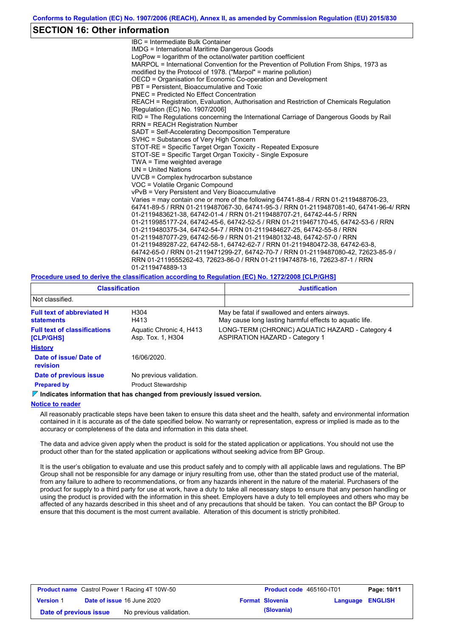### **SECTION 16: Other information**

IBC = Intermediate Bulk Container IMDG = International Maritime Dangerous Goods LogPow = logarithm of the octanol/water partition coefficient MARPOL = International Convention for the Prevention of Pollution From Ships, 1973 as modified by the Protocol of 1978. ("Marpol" = marine pollution) OECD = Organisation for Economic Co-operation and Development PBT = Persistent, Bioaccumulative and Toxic PNEC = Predicted No Effect Concentration REACH = Registration, Evaluation, Authorisation and Restriction of Chemicals Regulation [Regulation (EC) No. 1907/2006] RID = The Regulations concerning the International Carriage of Dangerous Goods by Rail RRN = REACH Registration Number SADT = Self-Accelerating Decomposition Temperature SVHC = Substances of Very High Concern STOT-RE = Specific Target Organ Toxicity - Repeated Exposure STOT-SE = Specific Target Organ Toxicity - Single Exposure TWA = Time weighted average UN = United Nations UVCB = Complex hydrocarbon substance VOC = Volatile Organic Compound vPvB = Very Persistent and Very Bioaccumulative Varies = may contain one or more of the following 64741-88-4 / RRN 01-2119488706-23, 64741-89-5 / RRN 01-2119487067-30, 64741-95-3 / RRN 01-2119487081-40, 64741-96-4/ RRN 01-2119483621-38, 64742-01-4 / RRN 01-2119488707-21, 64742-44-5 / RRN 01-2119985177-24, 64742-45-6, 64742-52-5 / RRN 01-2119467170-45, 64742-53-6 / RRN 01-2119480375-34, 64742-54-7 / RRN 01-2119484627-25, 64742-55-8 / RRN 01-2119487077-29, 64742-56-9 / RRN 01-2119480132-48, 64742-57-0 / RRN 01-2119489287-22, 64742-58-1, 64742-62-7 / RRN 01-2119480472-38, 64742-63-8, 64742-65-0 / RRN 01-2119471299-27, 64742-70-7 / RRN 01-2119487080-42, 72623-85-9 / RRN 01-2119555262-43, 72623-86-0 / RRN 01-2119474878-16, 72623-87-1 / RRN 01-2119474889-13

#### **Procedure used to derive the classification according to Regulation (EC) No. 1272/2008 [CLP/GHS]**

| <b>Classification</b>                            |                                              | <b>Justification</b>                                                                                     |
|--------------------------------------------------|----------------------------------------------|----------------------------------------------------------------------------------------------------------|
| Not classified.                                  |                                              |                                                                                                          |
| <b>Full text of abbreviated H</b><br>statements  | H <sub>304</sub><br>H413                     | May be fatal if swallowed and enters airways.<br>May cause long lasting harmful effects to aguatic life. |
| <b>Full text of classifications</b><br>[CLP/GHS] | Aquatic Chronic 4, H413<br>Asp. Tox. 1, H304 | LONG-TERM (CHRONIC) AQUATIC HAZARD - Category 4<br><b>ASPIRATION HAZARD - Category 1</b>                 |
| <b>History</b>                                   |                                              |                                                                                                          |
| Date of issue/ Date of<br>revision               | 16/06/2020                                   |                                                                                                          |
| Date of previous issue                           | No previous validation.                      |                                                                                                          |
| <b>Prepared by</b>                               | <b>Product Stewardship</b>                   |                                                                                                          |

#### **Indicates information that has changed from previously issued version.**

#### **Notice to reader**

All reasonably practicable steps have been taken to ensure this data sheet and the health, safety and environmental information contained in it is accurate as of the date specified below. No warranty or representation, express or implied is made as to the accuracy or completeness of the data and information in this data sheet.

The data and advice given apply when the product is sold for the stated application or applications. You should not use the product other than for the stated application or applications without seeking advice from BP Group.

It is the user's obligation to evaluate and use this product safely and to comply with all applicable laws and regulations. The BP Group shall not be responsible for any damage or injury resulting from use, other than the stated product use of the material, from any failure to adhere to recommendations, or from any hazards inherent in the nature of the material. Purchasers of the product for supply to a third party for use at work, have a duty to take all necessary steps to ensure that any person handling or using the product is provided with the information in this sheet. Employers have a duty to tell employees and others who may be affected of any hazards described in this sheet and of any precautions that should be taken. You can contact the BP Group to ensure that this document is the most current available. Alteration of this document is strictly prohibited.

| <b>Product name</b> Castrol Power 1 Racing 4T 10W-50 |  | <b>Product code</b> 465160-IT01   |  | Page: 10/11            |                  |  |
|------------------------------------------------------|--|-----------------------------------|--|------------------------|------------------|--|
| <b>Version 1</b>                                     |  | <b>Date of issue 16 June 2020</b> |  | <b>Format Slovenia</b> | Language ENGLISH |  |
| Date of previous issue                               |  | No previous validation.           |  | (Slovania)             |                  |  |